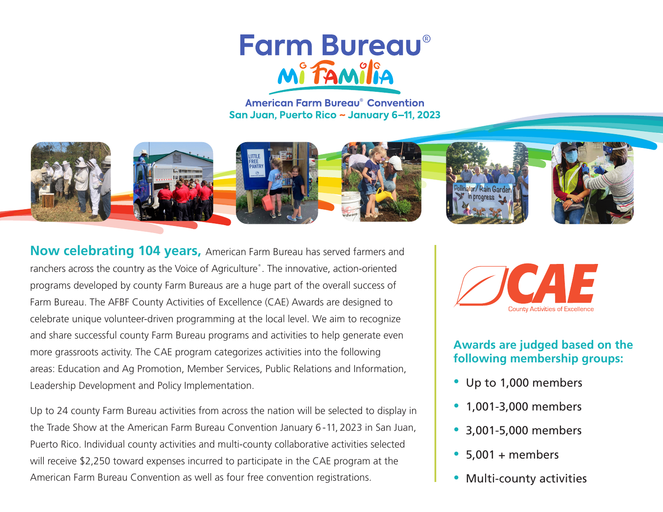# **Farm Bureau®** Mi FAMilit

**American Farm Bureau<sup>®</sup> Convention** San Juan, Puerto Rico ~ January 6-11, 2023



**Now celebrating 104 years,** American Farm Bureau has served farmers and ranchers across the country as the Voice of Agriculture®. The innovative, action-oriented programs developed by county Farm Bureaus are a huge part of the overall success of Farm Bureau. The AFBF County Activities of Excellence (CAE) Awards are designed to celebrate unique volunteer-driven programming at the local level. We aim to recognize and share successful county Farm Bureau programs and activities to help generate even more grassroots activity. The CAE program categorizes activities into the following areas: Education and Ag Promotion, Member Services, Public Relations and Information, Leadership Development and Policy Implementation.

Up to 24 county Farm Bureau activities from across the nation will be selected to display in the Trade Show at the American Farm Bureau Convention January 6 - 11, 2023 in San Juan, Puerto Rico. Individual county activities and multi-county collaborative activities selected will receive \$2,250 toward expenses incurred to participate in the CAE program at the American Farm Bureau Convention as well as four free convention registrations.



#### **Awards are judged based on the following membership groups:**

- Up to 1,000 members
- 1,001-3,000 members
- 3,001-5,000 members
- $5,001 + members$
- Multi-county activities